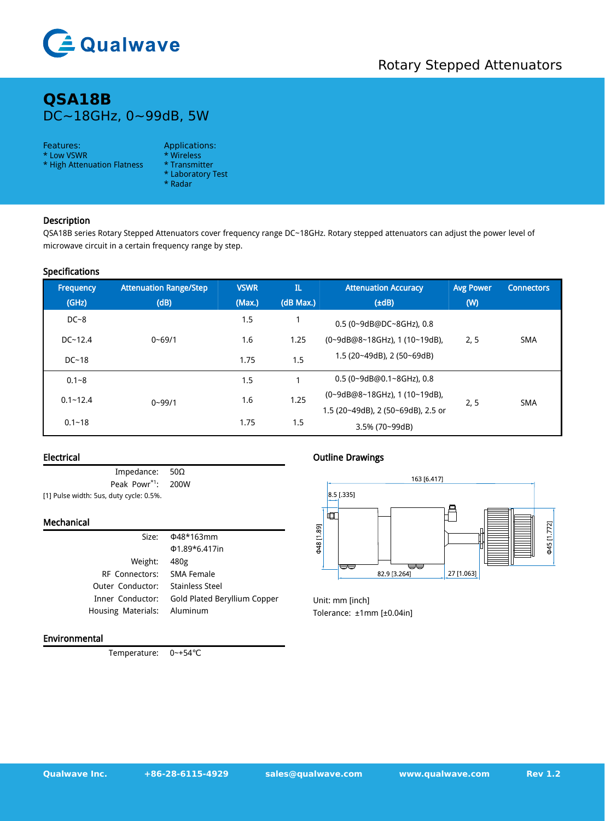

# **QSA18B** DC~18GHz, 0~99dB, 5W

### Features: Applications:

- \* Low VSWR \* Wireless<br>\* High Attenuation Flatness \* Transmitter \* High Attenuation Flatness
- -
	- \* Laboratory Test
	- \* Radar

## Description

QSA18B series Rotary Stepped Attenuators cover frequency range DC~18GHz. Rotary stepped attenuators can adjust the power level of microwave circuit in a certain frequency range by step.

#### Specifications

| Frequency    | <b>Attenuation Range/Step</b> | <b>VSWR</b>                                        | $\mathbf{I}$ | <b>Attenuation Accuracy</b>        | <b>Avg Power</b> | <b>Connectors</b> |
|--------------|-------------------------------|----------------------------------------------------|--------------|------------------------------------|------------------|-------------------|
| (GHz)        | (dB)                          | (Max.)                                             | (dB Max.)    | $(\pm dB)$                         | (W)              |                   |
| $DC-8$       |                               | 1.5                                                |              | 0.5 (0~9dB@DC~8GHz), 0.8           |                  |                   |
| $DC - 12.4$  | $0 - 69/1$                    | 1.6                                                | 1.25         | (0~9dB@8~18GHz), 1 (10~19dB),      | 2, 5             | <b>SMA</b>        |
| $DC-18$      |                               | 1.75                                               | 1.5          | 1.5 (20~49dB), 2 (50~69dB)         |                  |                   |
| $0.1 - 8$    | $0 - 99/1$                    | 1.5                                                |              | 0.5 (0~9dB@0.1~8GHz), 0.8          |                  |                   |
| $0.1 - 12.4$ |                               | $(0-9dB@8-18GHz)$ , 1 $(10-19dB)$ ,<br>1.25<br>1.6 | 2, 5         | <b>SMA</b>                         |                  |                   |
| $0.1 - 18$   |                               | 1.75                                               | 1.5          | 1.5 (20~49dB), 2 (50~69dB), 2.5 or |                  |                   |
|              |                               |                                                    |              | 3.5% (70~99dB)                     |                  |                   |

#### Electrical

Impedance: 50Ω Peak Powr<sup>\*1</sup>: \*1 : 200W [1] Pulse width: 5us, duty cycle: 0.5%.

#### Mechanical

| Size:                          | Φ48*163mm                    | ¤<br>Ξ                          |  |  |
|--------------------------------|------------------------------|---------------------------------|--|--|
|                                | $\Phi$ 1.89*6.417in          | \$48                            |  |  |
| Weight:                        | 480g                         | ▽<br>≂≂                         |  |  |
| <b>RF</b> Connectors:          | SMA Female                   | 27 [1.063]<br>82.9 [3.264]      |  |  |
| Outer Conductor:               | <b>Stainless Steel</b>       |                                 |  |  |
| Inner Conductor:               | Gold Plated Beryllium Copper | Unit: mm [inch]                 |  |  |
| Housing Materials:<br>Aluminum |                              | Tolerance: $±1mm$ [ $±0.04in$ ] |  |  |
|                                |                              |                                 |  |  |

## Environmental

Temperature: 0~+54℃

### Outline Drawings